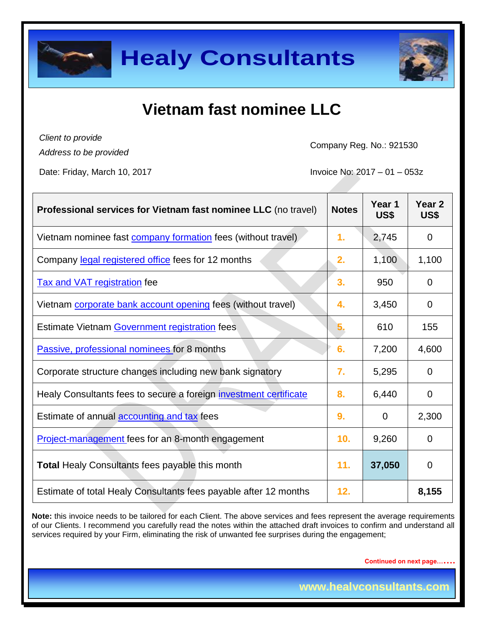



## **Vietnam fast nominee LLC**

*Client to provide Address to be provided*

Company Reg. No.: 921530

Date: Friday, March 10, 2017 **Invoice No: 2017** - 01 – 053z

| Professional services for Vietnam fast nominee LLC (no travel)    | <b>Notes</b>     | Year 1<br>US\$ | Year <sub>2</sub><br>US\$ |
|-------------------------------------------------------------------|------------------|----------------|---------------------------|
| Vietnam nominee fast company formation fees (without travel)      | 1.               | 2,745          | $\mathbf 0$               |
| Company legal registered office fees for 12 months                | 2.               | 1,100          | 1,100                     |
| <b>Tax and VAT registration fee</b>                               | 3.               | 950            | $\Omega$                  |
| Vietnam corporate bank account opening fees (without travel)      | 4.               | 3,450          | $\Omega$                  |
| Estimate Vietnam Government registration fees                     | 5.               | 610            | 155                       |
| Passive, professional nominees for 8 months                       | 6.               | 7,200          | 4,600                     |
| Corporate structure changes including new bank signatory          | $\overline{7}$ . | 5,295          | $\Omega$                  |
| Healy Consultants fees to secure a foreign investment certificate | 8.               | 6,440          | $\overline{0}$            |
| Estimate of annual accounting and tax fees                        | 9.               | $\overline{0}$ | 2,300                     |
| <b>Project-management</b> fees for an 8-month engagement          | 10.              | 9,260          | $\Omega$                  |
| <b>Total Healy Consultants fees payable this month</b>            | 11.              | 37,050         | 0                         |
| Estimate of total Healy Consultants fees payable after 12 months  | 12.              |                | 8,155                     |

**Note:** this invoice needs to be tailored for each Client. The above services and fees represent the average requirements of our Clients. I recommend you carefully read the notes within the attached draft invoices to confirm and understand all services required by your Firm, eliminating the risk of unwanted fee surprises during the engagement;

**Continued on next page…….**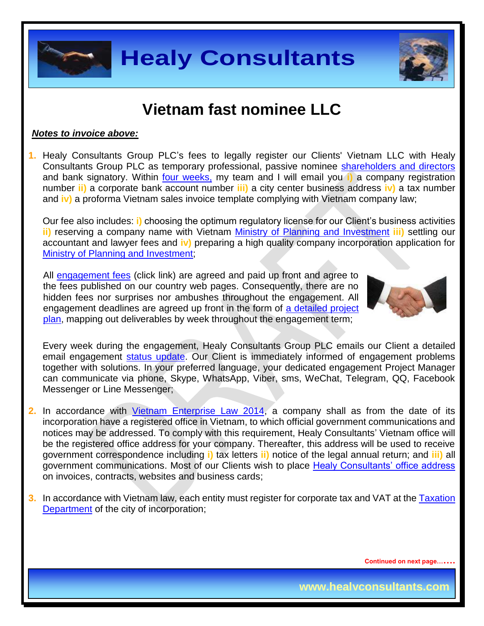



## **Vietnam fast nominee LLC**

#### *Notes to invoice above:*

**1.** Healy Consultants Group PLC's fees to legally register our Clients' Vietnam LLC with Healy Consultants Group PLC as temporary professional, passive nominee [shareholders and directors](http://www.healyconsultants.com/corporate-advisory-services/nominee-shareholders-directors/) and bank signatory. Within **four weeks**, my team and I will email you i) a company registration number **ii)** a corporate bank account number **iii)** a city center business address **iv)** a tax number and **iv)** a proforma Vietnam sales invoice template complying with Vietnam company law;

Our fee also includes: **i)** choosing the optimum regulatory license for our Client's business activities **ii)** reserving a company name with Vietnam [Ministry of Planning and Investment](http://www.mpi.gov.vn/en) **iii)** settling our accountant and lawyer fees and **iv)** preparing a high quality company incorporation application for [Ministry of Planning and Investment;](http://www.mpi.gov.vn/en)

All [engagement fees](http://www.healyconsultants.com/company-registration-fees/) (click link) are agreed and paid up front and agree to the fees published on our country web pages. Consequently, there are no hidden fees nor surprises nor ambushes throughout the engagement. All engagement deadlines are agreed up front in the form of a detailed project [plan,](http://www.healyconsultants.com/index-important-links/example-project-plan/) mapping out deliverables by week throughout the engagement term;



Every week during the engagement, Healy Consultants Group PLC emails our Client a detailed email engagement [status update.](http://www.healyconsultants.com/index-important-links/weekly-engagement-status-email/) Our Client is immediately informed of engagement problems together with solutions. In your preferred language, your dedicated engagement Project Manager can communicate via phone, Skype, WhatsApp, Viber, sms, WeChat, Telegram, QQ, Facebook Messenger or Line Messenger;

- **2.** In accordance with [Vietnam Enterprise](http://www.moj.gov.vn/vbpq/lists/vn%20bn%20php%20lut/view_detail.aspx?itemid=30314) Law 2014, a company shall as from the date of its incorporation have a registered office in Vietnam, to which official government communications and notices may be addressed. To comply with this requirement, Healy Consultants' Vietnam office will be the registered office address for your company. Thereafter, this address will be used to receive government correspondence including **i)** tax letters **ii)** notice of the legal annual return; and **iii)** all government communications. Most of our Clients wish to place [Healy Consultants' office address](http://www.healyconsultants.com/corporate-outsourcing-services/company-secretary-and-legal-registered-office/) on invoices, contracts, websites and business cards;
- **3.** In accordance with Vietnam law, each entity must register for corporate tax and VAT at the [Taxation](http://www.gdt.gov.vn/wps/portal/english)  [Department](http://www.gdt.gov.vn/wps/portal/english) of the city of incorporation;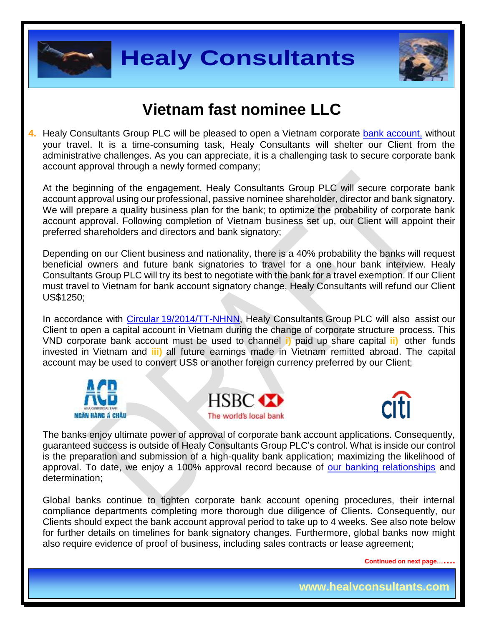



## **Vietnam fast nominee LLC**

**4.** Healy Consultants Group PLC will be pleased to open a Vietnam corporate [bank account,](http://www.healyconsultants.com/vietnam-company-registration/formation-support-services/#banking) without your travel. It is a time-consuming task, Healy Consultants will shelter our Client from the administrative challenges. As you can appreciate, it is a challenging task to secure corporate bank account approval through a newly formed company;

At the beginning of the engagement, Healy Consultants Group PLC will secure corporate bank account approval using our professional, passive nominee shareholder, director and bank signatory. We will prepare a quality business plan for the bank; to optimize the probability of corporate bank account approval. Following completion of Vietnam business set up, our Client will appoint their preferred shareholders and directors and bank signatory;

Depending on our Client business and nationality, there is a 40% probability the banks will request beneficial owners and future bank signatories to travel for a one hour bank interview. Healy Consultants Group PLC will try its best to negotiate with the bank for a travel exemption. If our Client must travel to Vietnam for bank account signatory change, Healy Consultants will refund our Client US\$1250;

In accordance with [Circular 19/2014/TT-NHNN,](http://moj.gov.vn/vbpq/lists/vn%20bn%20php%20lut/view_detail.aspx?itemid=29762) Healy Consultants Group PLC will also assist our Client to open a capital account in Vietnam during the change of corporate structure process. This VND corporate bank account must be used to channel **i)** paid up share capital **ii)** other funds invested in Vietnam and **iii)** all future earnings made in Vietnam remitted abroad. The capital account may be used to convert US\$ or another foreign currency preferred by our Client;







The banks enjoy ultimate power of approval of corporate bank account applications. Consequently, guaranteed success is outside of Healy Consultants Group PLC's control. What is inside our control is the preparation and submission of a high-quality bank application; maximizing the likelihood of approval. To date, we enjoy a 100% approval record because of [our banking relationships](http://www.healyconsultants.com/international-banking/corporate-accounts/) and determination;

Global banks continue to tighten corporate bank account opening procedures, their internal compliance departments completing more thorough due diligence of Clients. Consequently, our Clients should expect the bank account approval period to take up to 4 weeks. See also note below for further details on timelines for bank signatory changes. Furthermore, global banks now might also require evidence of proof of business, including sales contracts or lease agreement;

**Continued on next page…….**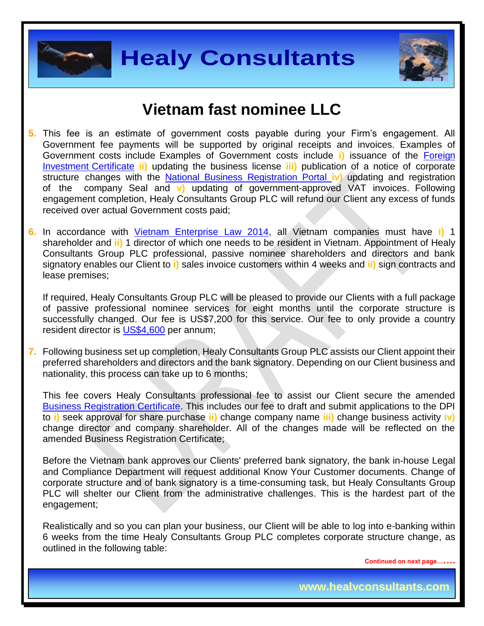



### **Vietnam fast nominee LLC**

- **5.** This fee is an estimate of government costs payable during your Firm's engagement. All Government fee payments will be supported by original receipts and invoices. Examples of Government costs include Examples of Government costs include **i)** issuance of the [Foreign](http://www.vietrade.gov.vn/en/index.php?option=com_content&view=article&id=800&Itemid=207) [Investment](http://www.vietrade.gov.vn/en/index.php?option=com_content&view=article&id=800&Itemid=207) Certificate **ii)** updating the business license **iii)** publication of a notice of corporate structure changes with the National Business [Registration](http://dangkykinhdoanh.gov.vn/AboutUs/tabid/171/CategoryID/140/language/en-GB/Default.aspx) Portal **iv)** updating and registration of the company Seal and **v)** updating of government-approved VAT invoices. Following engagement completion, Healy Consultants Group PLC will refund our Client any excess of funds received over actual Government costs paid;
- **6.** In accordance with [Vietnam Enterprise Law 2014,](http://www.moj.gov.vn/vbpq/lists/vn%20bn%20php%20lut/view_detail.aspx?itemid=30314) all Vietnam companies must have **i)** 1 shareholder and **ii)** 1 director of which one needs to be resident in Vietnam. Appointment of Healy Consultants Group PLC professional, passive nominee shareholders and directors and bank signatory enables our Client to **i)** sales invoice customers within 4 weeks and **ii)** sign contracts and lease premises;

If required, Healy Consultants Group PLC will be pleased to provide our Clients with a full package of passive professional nominee services for eight months until the corporate structure is successfully changed. Our fee is US\$7,200 for this service. Our fee to only provide a country resident director is [US\\$4,600](http://www.healyconsultants.com/corporate-advisory-services/nominee-shareholders-directors/resident-director-services/) per annum;

**7.** Following business set up completion, Healy Consultants Group PLC assists our Client appoint their preferred shareholders and directors and the bank signatory. Depending on our Client business and nationality, this process can take up to 6 months;

This fee covers Healy Consultants professional fee to assist our Client secure the amended [Business Registration Certificate.](http://www.chinhphu.vn/portal/page/portal/English) This includes our fee to draft and submit applications to the DPI to **i)** seek approval for share purchase **ii)** change company name **iii)** change business activity **iv)** change director and company shareholder. All of the changes made will be reflected on the amended Business Registration Certificate;

Before the Vietnam bank approves our Clients' preferred bank signatory, the bank in-house Legal and Compliance Department will request additional Know Your Customer documents. Change of corporate structure and of bank signatory is a time-consuming task, but Healy Consultants Group PLC will shelter our Client from the administrative challenges. This is the hardest part of the engagement;

Realistically and so you can plan your business, our Client will be able to log into e-banking within 6 weeks from the time Healy Consultants Group PLC completes corporate structure change, as outlined in the following table:

**Continued on next page…….**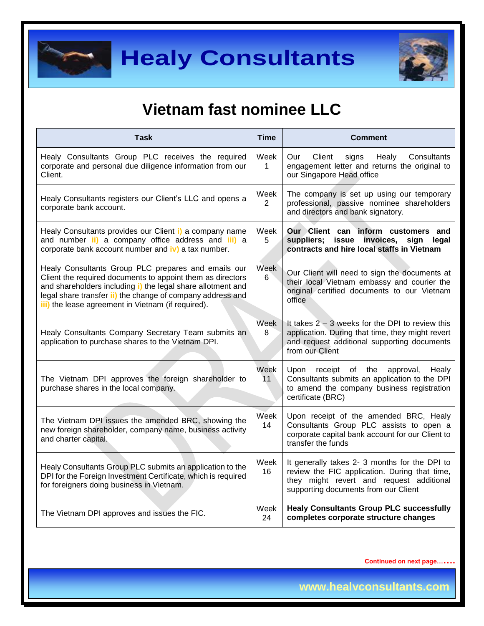



# **Vietnam fast nominee LLC**

| <b>Task</b>                                                                                                                                                                                                                                                                                          | <b>Time</b>            | <b>Comment</b>                                                                                                                                                                     |  |  |
|------------------------------------------------------------------------------------------------------------------------------------------------------------------------------------------------------------------------------------------------------------------------------------------------------|------------------------|------------------------------------------------------------------------------------------------------------------------------------------------------------------------------------|--|--|
| Healy Consultants Group PLC receives the required<br>corporate and personal due diligence information from our<br>Client.                                                                                                                                                                            | Week<br>$\mathbf{1}$   | Client<br>Consultants<br>Our<br>signs<br>Healy<br>engagement letter and returns the original to<br>our Singapore Head office                                                       |  |  |
| Healy Consultants registers our Client's LLC and opens a<br>corporate bank account.                                                                                                                                                                                                                  | Week<br>$\overline{2}$ | The company is set up using our temporary<br>professional, passive nominee shareholders<br>and directors and bank signatory.                                                       |  |  |
| Healy Consultants provides our Client i) a company name<br>and number ii) a company office address and iii) a<br>corporate bank account number and iv) a tax number.                                                                                                                                 | Week<br>5              | Our Client can inform customers and<br>suppliers; issue invoices,<br>sign legal<br>contracts and hire local staffs in Vietnam                                                      |  |  |
| Healy Consultants Group PLC prepares and emails our<br>Client the required documents to appoint them as directors<br>and shareholders including i) the legal share allotment and<br>legal share transfer ii) the change of company address and<br>iii) the lease agreement in Vietnam (if required). | Week<br>6              | Our Client will need to sign the documents at<br>their local Vietnam embassy and courier the<br>original certified documents to our Vietnam<br>office                              |  |  |
| Healy Consultants Company Secretary Team submits an<br>application to purchase shares to the Vietnam DPI.                                                                                                                                                                                            | Week<br>8              | It takes $2 - 3$ weeks for the DPI to review this<br>application. During that time, they might revert<br>and request additional supporting documents<br>from our Client            |  |  |
| The Vietnam DPI approves the foreign shareholder to<br>purchase shares in the local company.                                                                                                                                                                                                         | Week<br>11             | Upon receipt of the<br>approval,<br>Healy<br>Consultants submits an application to the DPI<br>to amend the company business registration<br>certificate (BRC)                      |  |  |
| The Vietnam DPI issues the amended BRC, showing the<br>new foreign shareholder, company name, business activity<br>and charter capital.                                                                                                                                                              | Week<br>14             | Upon receipt of the amended BRC, Healy<br>Consultants Group PLC assists to open a<br>corporate capital bank account for our Client to<br>transfer the funds                        |  |  |
| Healy Consultants Group PLC submits an application to the<br>DPI for the Foreign Investment Certificate, which is required<br>for foreigners doing business in Vietnam.                                                                                                                              | Week<br>16             | It generally takes 2- 3 months for the DPI to<br>review the FIC application. During that time,<br>they might revert and request additional<br>supporting documents from our Client |  |  |
| The Vietnam DPI approves and issues the FIC.                                                                                                                                                                                                                                                         | Week<br>24             | <b>Healy Consultants Group PLC successfully</b><br>completes corporate structure changes                                                                                           |  |  |

**Continued on next page…….**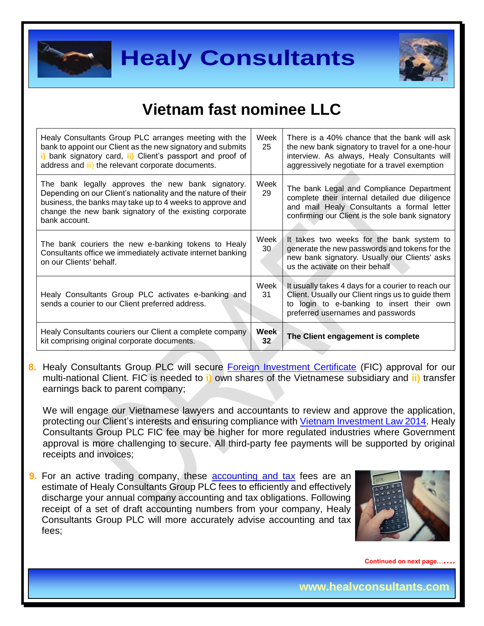



# **Vietnam fast nominee LLC**

| Healy Consultants Group PLC arranges meeting with the<br>bank to appoint our Client as the new signatory and submits<br>i) bank signatory card, ii) Client's passport and proof of<br>address and iii) the relevant corporate documents.                    | Week<br>25                     | There is a 40% chance that the bank will ask<br>the new bank signatory to travel for a one-hour<br>interview. As always, Healy Consultants will<br>aggressively negotiate for a travel exemption |
|-------------------------------------------------------------------------------------------------------------------------------------------------------------------------------------------------------------------------------------------------------------|--------------------------------|--------------------------------------------------------------------------------------------------------------------------------------------------------------------------------------------------|
| The bank legally approves the new bank signatory.<br>Depending on our Client's nationality and the nature of their<br>business, the banks may take up to 4 weeks to approve and<br>change the new bank signatory of the existing corporate<br>bank account. | Week<br>29                     | The bank Legal and Compliance Department<br>complete their internal detailed due diligence<br>and mail Healy Consultants a formal letter<br>confirming our Client is the sole bank signatory     |
| The bank couriers the new e-banking tokens to Healy<br>Consultants office we immediately activate internet banking<br>on our Clients' behalf.                                                                                                               | Week<br>30 <sup>°</sup>        | It takes two weeks for the bank system to<br>generate the new passwords and tokens for the<br>new bank signatory. Usually our Clients' asks<br>us the activate on their behalf                   |
| Healy Consultants Group PLC activates e-banking and<br>sends a courier to our Client preferred address.                                                                                                                                                     | Week<br>31                     | It usually takes 4 days for a courier to reach our<br>Client. Usually our Client rings us to guide them<br>to login to e-banking to insert their own<br>preferred usernames and passwords        |
| Healy Consultants couriers our Client a complete company<br>kit comprising original corporate documents.                                                                                                                                                    | <b>Week</b><br>32 <sub>2</sub> | The Client engagement is complete                                                                                                                                                                |

**8.** Healy Consultants Group PLC will secure [Foreign Investment Certificate](http://www.vietrade.gov.vn/en/index.php?option=com_content&view=article&id=800&Itemid=207) (FIC) approval for our multi-national Client. FIC is needed to **i)** own shares of the Vietnamese subsidiary and **ii)** transfer earnings back to parent company;

We will engage our Vietnamese lawyers and accountants to review and approve the application, protecting our Client's interests and ensuring compliance with [Vietnam Investment Law 2014.](http://www.itpc.gov.vn/investors/how_to_invest/law/Law_on_Investment_2014_67_2014_QH13/view) Healy Consultants Group PLC FIC fee may be higher for more regulated industries where Government approval is more challenging to secure. All third-party fee payments will be supported by original receipts and invoices;

**9.** For an active trading company, these **accounting and tax** fees are an estimate of Healy Consultants Group PLC fees to efficiently and effectively discharge your annual company accounting and tax obligations. Following receipt of a set of draft accounting numbers from your company, Healy Consultants Group PLC will more accurately advise accounting and tax fees;



**Continued on next page…….**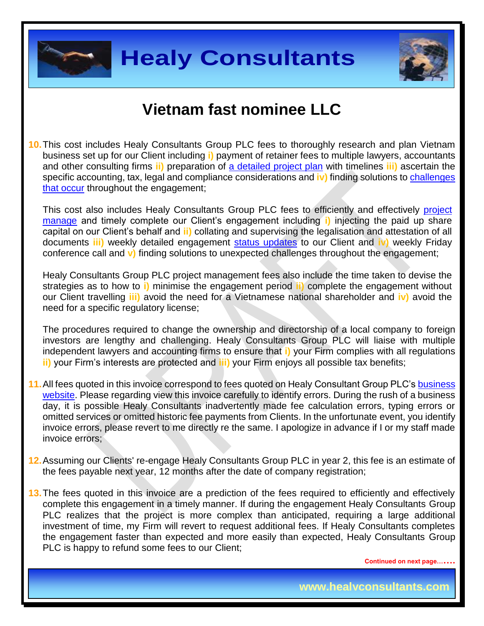



### **Vietnam fast nominee LLC**

**10.**This cost includes Healy Consultants Group PLC fees to thoroughly research and plan Vietnam business set up for our Client including **i)** payment of retainer fees to multiple lawyers, accountants and other consulting firms **ii)** preparation of [a detailed project plan](http://www.healyconsultants.com/index-important-links/example-project-plan/) with timelines **iii)** ascertain the specific accounting, tax, legal and compliance considerations and **iv)** finding solutions to [challenges](http://www.healyconsultants.com/engagement-project-management/)  [that occur](http://www.healyconsultants.com/engagement-project-management/) throughout the engagement;

This cost also includes Healy Consultants Group PLC fees to efficiently and effectively [project](http://www.healyconsultants.com/project-manage-engagements/)  [manage](http://www.healyconsultants.com/project-manage-engagements/) and timely complete our Client's engagement including **i)** injecting the paid up share capital on our Client's behalf and **ii)** collating and supervising the legalisation and attestation of all documents **iii)** weekly detailed engagement [status updates](http://www.healyconsultants.com/index-important-links/weekly-engagement-status-email/) to our Client and **iv)** weekly Friday conference call and **v)** finding solutions to unexpected challenges throughout the engagement;

Healy Consultants Group PLC project management fees also include the time taken to devise the strategies as to how to **i)** minimise the engagement period **ii)** complete the engagement without our Client travelling **iii)** avoid the need for a Vietnamese national shareholder and **iv)** avoid the need for a specific regulatory license;

The procedures required to change the ownership and directorship of a local company to foreign investors are lengthy and challenging. Healy Consultants Group PLC will liaise with multiple independent lawyers and accounting firms to ensure that **i)** your Firm complies with all regulations **ii)** your Firm's interests are protected and **iii)** your Firm enjoys all possible tax benefits;

- **11.**All fees quoted in this invoice correspond to fees quoted on Healy Consultant Group PLC's [business](http://www.healyconsultants.com/india-company-registration/)  [website.](http://www.healyconsultants.com/india-company-registration/) Please regarding view this invoice carefully to identify errors. During the rush of a business day, it is possible Healy Consultants inadvertently made fee calculation errors, typing errors or omitted services or omitted historic fee payments from Clients. In the unfortunate event, you identify invoice errors, please revert to me directly re the same. I apologize in advance if I or my staff made invoice errors;
- **12.**Assuming our Clients' re-engage Healy Consultants Group PLC in year 2, this fee is an estimate of the fees payable next year, 12 months after the date of company registration;
- **13.**The fees quoted in this invoice are a prediction of the fees required to efficiently and effectively complete this engagement in a timely manner. If during the engagement Healy Consultants Group PLC realizes that the project is more complex than anticipated, requiring a large additional investment of time, my Firm will revert to request additional fees. If Healy Consultants completes the engagement faster than expected and more easily than expected, Healy Consultants Group PLC is happy to refund some fees to our Client;

**Continued on next page…….**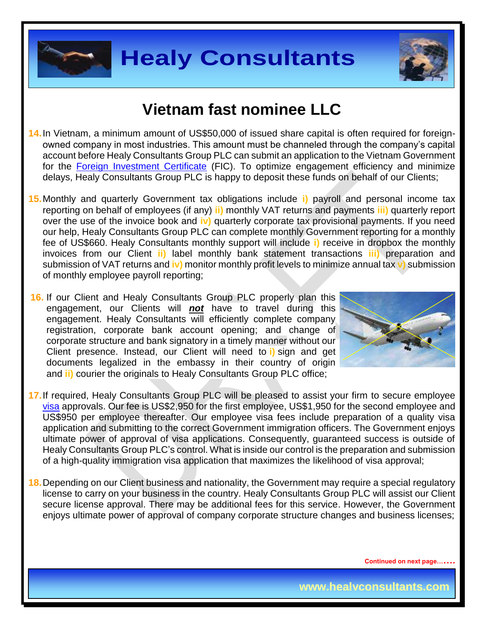



## **Vietnam fast nominee LLC**

- **14.**In Vietnam, a minimum amount of US\$50,000 of issued share capital is often required for foreignowned company in most industries. This amount must be channeled through the company's capital account before Healy Consultants Group PLC can submit an application to the Vietnam Government for the [Foreign Investment Certificate](http://www.vietrade.gov.vn/en/index.php?option=com_content&view=article&id=800&Itemid=207) (FIC). To optimize engagement efficiency and minimize delays, Healy Consultants Group PLC is happy to deposit these funds on behalf of our Clients;
- **15.**Monthly and quarterly Government tax obligations include **i)** payroll and personal income tax reporting on behalf of employees (if any) **ii)** monthly VAT returns and payments **iii)** quarterly report over the use of the invoice book and **iv)** quarterly corporate tax provisional payments. If you need our help, Healy Consultants Group PLC can complete monthly Government reporting for a monthly fee of US\$660. Healy Consultants monthly support will include **i)** receive in dropbox the monthly invoices from our Client **ii)** label monthly bank statement transactions **iii)** preparation and submission of VAT returns and **iv)** monitor monthly profit levels to minimize annual tax **v)** submission of monthly employee payroll reporting;
- **16.** If our Client and Healy Consultants Group PLC properly plan this engagement, our Clients will *not* have to travel during this engagement. Healy Consultants will efficiently complete company registration, corporate bank account opening; and change of corporate structure and bank signatory in a timely manner without our Client presence. Instead, our Client will need to **i)** sign and get documents legalized in the embassy in their country of origin and **ii)** courier the originals to Healy Consultants Group PLC office;



- **17.**If required, Healy Consultants Group PLC will be pleased to assist your firm to secure employee [visa](http://www.healyconsultants.com/vietnam-company-registration/formation-support-services/) approvals. Our fee is US\$2,950 for the first employee, US\$1,950 for the second employee and US\$950 per employee thereafter. Our employee visa fees include preparation of a quality visa application and submitting to the correct Government immigration officers. The Government enjoys ultimate power of approval of visa applications. Consequently, guaranteed success is outside of Healy Consultants Group PLC's control. What is inside our control is the preparation and submission of a high-quality immigration visa application that maximizes the likelihood of visa approval;
- **18.**Depending on our Client business and nationality, the Government may require a special regulatory license to carry on your business in the country. Healy Consultants Group PLC will assist our Client secure license approval. There may be additional fees for this service. However, the Government enjoys ultimate power of approval of company corporate structure changes and business licenses;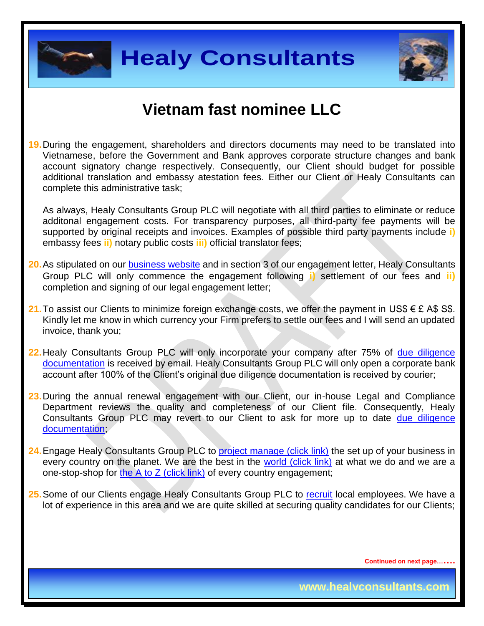



### **Vietnam fast nominee LLC**

**19.**During the engagement, shareholders and directors documents may need to be translated into Vietnamese, before the Government and Bank approves corporate structure changes and bank account signatory change respectively. Consequently, our Client should budget for possible additional translation and embassy atestation fees. Either our Client or Healy Consultants can complete this administrative task;

As always, Healy Consultants Group PLC will negotiate with all third parties to eliminate or reduce additonal engagement costs. For transparency purposes, all third-party fee payments will be supported by original receipts and invoices. Examples of possible third party payments include **i)** embassy fees **ii)** notary public costs **iii)** official translator fees;

- **20.**As stipulated on our [business website](http://www.healyconsultants.com/) and in section 3 of our engagement letter, Healy Consultants Group PLC will only commence the engagement following **i)** settlement of our fees and **ii)** completion and signing of our legal engagement letter;
- 21. To assist our Clients to minimize foreign exchange costs, we offer the payment in US\$ € £ A\$ S\$. Kindly let me know in which currency your Firm prefers to settle our fees and I will send an updated invoice, thank you;
- **22.**Healy Consultants Group PLC will only incorporate your company after 75% of [due diligence](http://www.healyconsultants.com/due-diligence/)  [documentation](http://www.healyconsultants.com/due-diligence/) is received by email. Healy Consultants Group PLC will only open a corporate bank account after 100% of the Client's original due diligence documentation is received by courier;
- 23. During the annual renewal engagement with our Client, our in-house Legal and Compliance Department reviews the quality and completeness of our Client file. Consequently, Healy Consultants Group PLC may revert to our Client to ask for more up to date due diligence [documentation;](http://www.healyconsultants.com/due-diligence/)
- 24. Engage Healy Consultants Group PLC to [project manage \(click link\)](http://www.healyconsultants.com/project-manage-engagements/) the set up of your business in every country on the planet. We are the best in the [world \(click link\)](http://www.healyconsultants.com/best-in-the-world/) at what we do and we are a one-stop-shop for [the A to Z \(click link\)](http://www.healyconsultants.com/a-to-z-of-business-set-up/) of every country engagement;
- **25.**Some of our Clients engage Healy Consultants Group PLC to [recruit](http://www.healyconsultants.com/corporate-outsourcing-services/how-we-help-our-clients-recruit-quality-employees/) local employees. We have a lot of experience in this area and we are quite skilled at securing quality candidates for our Clients;